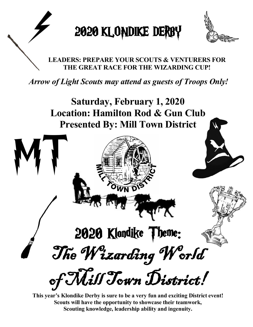



# **LEADERS: PREPARE YOUR SCOUTS & VENTURERS FOR THE GREAT RACE FOR THE WIZARDING CUP!**

*Arrow of Light Scouts may attend as guests of Troops Only!*

**Saturday, February 1, 2020 Location: Hamilton Rod & Gun Club Presented By: Mill Town District**



**This year's Klondike Derby is sure to be a very fun and exciting District event! Scouts will have the opportunity to showcase their teamwork, Scouting knowledge, leadership ability and ingenuity.**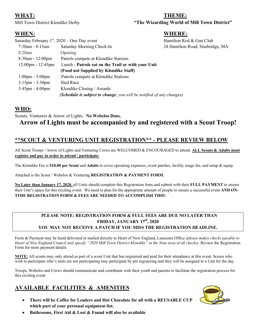#### **WHAT: THEME:**

Mill Town District Klondike Derby **"The Wizarding World of Mill Town District"**

#### **WHEN: WHERE:**

| Saturday February $1st$ , 2020 – One Day event |                                                                      | Hamilton Rod & Gun Club          |
|------------------------------------------------|----------------------------------------------------------------------|----------------------------------|
| $7:30$ am - $8:15$ am                          | Saturday Morning Check-In                                            | 24 Hamilton Road, Sturbridge, MA |
| 8:20am                                         | Opening                                                              |                                  |
| $8:30$ am - 12:00pm                            | Patrols compete at Klondike Stations                                 |                                  |
| $12:00$ pm - $12:45$ pm                        | Lunch - Patrols eat on the Trail or with your Unit                   |                                  |
|                                                | (Food not Supplied by Klondike Staff)                                |                                  |
| $1:00 \text{pm} - 3:00 \text{pm}$              | Patrols compete at Klondike Stations                                 |                                  |
| $3:15$ pm - $3:30$ pm                          | Sled Race                                                            |                                  |
| $3:45$ pm - $4:00$ pm                          | Klondike Closing / Awards                                            |                                  |
|                                                | (Schedule is subject to change, you will be notified of any changes) |                                  |

#### **WHO:**

Scouts, Venturers & Arrow of Lights. **No Webelos Dens.** 

# **Arrow of Lights must be accompanied by and registered with a Scout Troop!**

#### **\*\*SCOUT & VENTURING UNIT REGISTRATION\*\* - PLEASE REVIEW BELOW**

All Scout Troops / Arrow of Lights and Venturing Crews are WELCOMED & ENCOURAGED to attend. **ALL Scouts & Adults must register and pay in order to attend / participate.**

The Klondike Fee is **\$10.00 per Scout** and **Adults** to cover operating expenses, event patches, facility usage fee, and setup & equip.

Attached is the Scout / Webelos & Venturing **REGISTRATION & PAYMENT FORM.**

**No Later than January 17, 2020**, all Units should complete this Registration form and submit with their **FULL PAYMENT** to ensure their Unit's space for this exciting event. We need to plan for the appropriate amount of people to ensure a successful event **AND ON-TIME REGISTRATION FORM & FEES ARE NEEDED TO ACCOMPLISH THIS!**

#### **PLEASE NOTE: REGISTRATION FORM & FULL FEES ARE DUE NO LATER THAN FRIDAY, JANUARY 17 th , 2020 YOU MAY NOT RECEIVE A PATCH IF YOU MISS THE REGISTRATION DEADLINE.**

Form & Payment may be hand delivered or mailed directly to Heart of New England, Lancaster Office *(please makes checks payable to Heart of New England Council and specify "2020 Mill Town District Klondike" in the Note area of all checks)*. Review the Registration Form for more payment details.

**NOTE:** All scouts may only attend as part of a scout Unit that has registered and paid for their attendance at this event. Scouts who wish to participate who's units are not participating may participate by pre registering and they will be assigned to a Unit for the day.

Troops, Webelos and Crews should communicate and coordinate with their youth and parents to facilitate the registration process for this exciting event.

## **AVAILABLE FACILITIES & AMENITIES**

- **There will be Coffee for Leaders and Hot Chocolate for all with a REUSABLE CUP which part of your personal equipment list.** 
	- **Bathrooms, First Aid & Lost & Found will also be available**

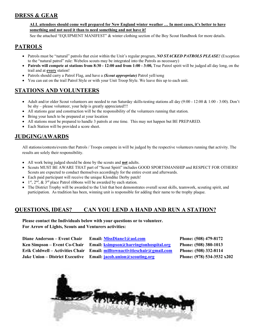## **DRESS & GEAR**

#### **ALL attendees should come well prepared for New England winter weather … In most cases, it's better to have something and not need it than to need something and not have it!**

See the attached "EQUIPMENT MANIFEST" & winter clothing section of the Boy Scout Handbook for more details.

#### **PATROLS**

- Patrols must be "natural" patrols that exist within the Unit's regular program, *NO STACKED PATROLS PLEASE!* (Exception to the "natural patrol" rule: Webelos scouts may be integrated into the Patrols as necessary)
- **Patrols will compete at stations from 8:30 - 12:00 and from 1:00 - 3:00,** True Patrol spirit will be judged all day long, on the trail and at **every** station!
- Patrols should carry a Patrol Flag, and have a *(Scout appropriate)* Patrol yell/song
- You can eat on the trail Patrol Style or with your Unit Troop Style. We leave this up to each unit.

#### **STATIONS AND VOLUNTEERS**

- Adult and/or older Scout volunteers are needed to run Saturday skills-testing stations all day (9:00 12:00 & 1:00 3:00). Don't be shy – please volunteer, your help is greatly appreciated!!!
- All stations gear and construction will be the responsibility of the volunteers running that station.
- Bring your lunch to be prepared at your location
- All stations must be prepared to handle 3 patrols at one time. This may not happen but BE PREPARED.
- Each Station will be provided a score sheet.

#### **JUDGING/AWARDS**

All stations/contests/events that Patrols / Troops compete in will be judged by the respective volunteers running that activity. The results are solely their responsibility.

- All work being judged should be done by the scouts and **not** adults.
- Scouts MUST BE AWARE THAT part of "Scout Spirit" includes GOOD SPORTSMANSHIP and RESPECT FOR OTHERS! Scouts are expected to conduct themselves accordingly for the entire event and afterwards.
- Each paid participant will receive the unique Klondike Derby patch!
- $\bullet$  1<sup>st</sup>, 2<sup>nd</sup>, & 3<sup>rd</sup> place Patrol ribbons will be awarded by each station.
- The District Trophy will be awarded to the Unit that best demonstrates overall scout skills, teamwork, scouting spirit, and participation. As tradition has been, winning unit is responsible for adding their name to the trophy plaque.

#### **QUESTIONS, IDEAS? CAN YOU LEND A HAND AND RUN A STATION?**

**Please contact the Individuals below with your questions or to volunteer. For Arrow of Lights, Scouts and Venturers activities:**

| Diane Anderson – Event Chair            |
|-----------------------------------------|
| Ken Simpson – Event Co-Chair            |
| <b>Erik Coldwell – Activities Chair</b> |
| <b>Jake Union – District Executive</b>  |

**Email:** MissDiane1@aol.com **Phone: (508)** 479-8172 **Email: ksimpson@harringtonhospital.org** Phone: (508) 380-1013 **Erik Coldwell – Activities Chair Email: milltownactivitieschair@gmail.com Phone: (508) 332-8114**

**Email:** *jacob.union@scouting.org* **Phone:** (978) **534-3532 x202** 

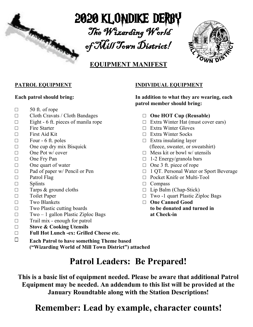

2020 KLONDIKE DERBY

The Wizarding World of Mill Town District!



# **EQUIPMENT MANIFEST**

#### **PATROL EQUIPMENT**

#### **Each patrol should bring:**

- $\Box$  50 ft. of rope
- □ Cloth Cravats / Cloth Bandages
- $\Box$  Eight 6 ft. pieces of manila rope
- $\Box$  Fire Starter
- □ First Aid Kit
- $\Box$  Four 6 ft. poles
- $\Box$  One cup dry mix Bisquick
- □ One Pot w/ cover
- □ One Fry Pan
- □ One quart of water
- □ Pad of paper w/ Pencil or Pen
- □ Patrol Flag
- □ Splints

 $\Box$ 

- $\Box$  Tarps & ground cloths
- □ Toilet Paper
- □ Two Blankets
- □ Two Plastic cutting boards
- $\square$  Two 1 gallon Plastic Ziploc Bags
- $\Box$  Trail mix enough for patrol
- □ **Stove & Cooking Utensils**
- □ **Full Hot Lunch -ex: Grilled Cheese etc.**
	- **Each Patrol to have something Theme based cooked on the trail) ("Wizarding World of Mill Town District") attached**

#### **INDIVIDUAL EQUIPMENT**

**In addition to what they are wearing, each patrol member should bring:**

- □ **One HOT Cup (Reusable)**
- $\Box$  Extra Winter Hat (must cover ears)
- □ Extra Winter Gloves
- □ Extra Winter Socks
- $\Box$  Extra insulating layer (fleece, sweater, or sweatshirt)
- $\Box$  Mess kit or bowl w/ utensils
- $\Box$  1-2 Energy/granola bars
- □ One 3 ft. piece of rope
- □ 1 QT. Personal Water or Sport Beverage
- □ Pocket Knife or Multi-Tool
- □ Compass
- $\Box$  Lip Balm (Chap-Stick)
- $\Box$  Two -1 quart Plastic Ziploc Bags
- □ **One Canned Good to be donated and turned in at Check-in**

**Patrol Leaders: Be Prepared!**

**This is a basic list of equipment needed. Please be aware that additional Patrol Equipment may be needed. An addendum to this list will be provided at the January Roundtable along with the Station Descriptions!**

# **Remember: Lead by example, character counts!**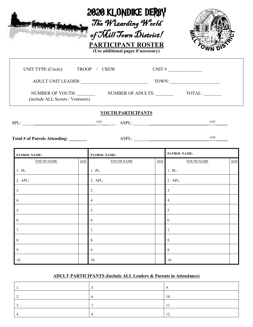

| UNIT TYPE (Circle): TROOP / CREW      |     |                                        | UNIT # $\frac{1}{\sqrt{1-\frac{1}{2}}}\frac{1}{\sqrt{1-\frac{1}{2}}}\frac{1}{\sqrt{1-\frac{1}{2}}}\frac{1}{\sqrt{1-\frac{1}{2}}}\frac{1}{\sqrt{1-\frac{1}{2}}}\frac{1}{\sqrt{1-\frac{1}{2}}}\frac{1}{\sqrt{1-\frac{1}{2}}}\frac{1}{\sqrt{1-\frac{1}{2}}}\frac{1}{\sqrt{1-\frac{1}{2}}}\frac{1}{\sqrt{1-\frac{1}{2}}}\frac{1}{\sqrt{1-\frac{1}{2}}}\frac{1}{\sqrt{1-\frac{1}{2}}}\frac{1}{\sqrt{1-\frac{1}{2}}}\frac{1}{$ |                                                                                                                                      |     |
|---------------------------------------|-----|----------------------------------------|--------------------------------------------------------------------------------------------------------------------------------------------------------------------------------------------------------------------------------------------------------------------------------------------------------------------------------------------------------------------------------------------------------------------------|--------------------------------------------------------------------------------------------------------------------------------------|-----|
|                                       |     |                                        |                                                                                                                                                                                                                                                                                                                                                                                                                          | $\begin{tabular}{c} TOWN: \begin{tabular}{ c c c } \hline \quad \quad & \quad & \quad & \quad \\ \hline \end{tabular} \end{tabular}$ |     |
| (include ALL Scouts / Venturers)      |     |                                        |                                                                                                                                                                                                                                                                                                                                                                                                                          |                                                                                                                                      |     |
|                                       |     | <b>YOUTH PARTICIPANTS</b>              |                                                                                                                                                                                                                                                                                                                                                                                                                          |                                                                                                                                      |     |
| SPL:                                  |     | AGE:<br>$\overline{\phantom{a}}$ ASPL: |                                                                                                                                                                                                                                                                                                                                                                                                                          | $AGE$ :                                                                                                                              |     |
| Total # of Patrols Attending: _______ |     |                                        |                                                                                                                                                                                                                                                                                                                                                                                                                          | $AGE$ :                                                                                                                              |     |
| PATROL NAME:                          |     | PATROL NAME:                           |                                                                                                                                                                                                                                                                                                                                                                                                                          | PATROL NAME:                                                                                                                         |     |
| YOUTH NAME                            | AGE | YOUTH NAME                             | AGE                                                                                                                                                                                                                                                                                                                                                                                                                      | YOUTH NAME                                                                                                                           | AGE |
| 1. PL:                                |     | 1. PL:                                 |                                                                                                                                                                                                                                                                                                                                                                                                                          | $1.$ PL:                                                                                                                             |     |
| 2. APL:                               |     | 2. APL:                                |                                                                                                                                                                                                                                                                                                                                                                                                                          | 2. APL:                                                                                                                              |     |
| 3.                                    |     | 3.                                     |                                                                                                                                                                                                                                                                                                                                                                                                                          | 3.                                                                                                                                   |     |
| 4.                                    |     | 4.                                     |                                                                                                                                                                                                                                                                                                                                                                                                                          | 4.                                                                                                                                   |     |
| 5.                                    |     | 5.                                     |                                                                                                                                                                                                                                                                                                                                                                                                                          | 5.                                                                                                                                   |     |
| 6.                                    |     | 6.                                     |                                                                                                                                                                                                                                                                                                                                                                                                                          | 6.                                                                                                                                   |     |
| 7.                                    |     | 7.                                     |                                                                                                                                                                                                                                                                                                                                                                                                                          | 7.                                                                                                                                   |     |
| 8.                                    |     | 8.                                     |                                                                                                                                                                                                                                                                                                                                                                                                                          | 8.                                                                                                                                   |     |
| 9.                                    |     | 9.                                     |                                                                                                                                                                                                                                                                                                                                                                                                                          | 9.                                                                                                                                   |     |

#### **ADULT PARTICIPANTS (Include ALL Leaders & Parents in Attendance)**

10. 10. 10. 10. 10.

| . .      | J. |           |
|----------|----|-----------|
| <u>.</u> | v. | 10.       |
|          |    | 11.       |
|          |    | 12<br>1/4 |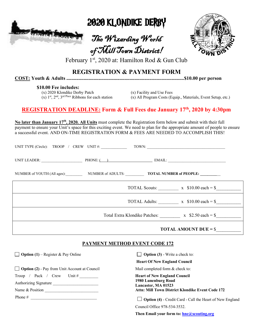

2020 KLONDIKE DERBY

The Wizarding World of Mill Town District!



February 1st, 2020 at: Hamilton Rod & Gun Club

## **REGISTRATION & PAYMENT FORM**

**COST: Youth & Adults ...............................................................................................\$10.00 per person** 

#### **\$10.00 Fee includes:**

(x) 2020 Klondike Derby Patch (x) Facility and Use Fees

(x) 1<sup>st</sup>, 2<sup>nd</sup>, 3<sup>rd Place</sup> Ribbons for each station (x) All Program Costs (Equip., Materials, Event Setup, etc.)

## **REGISTRATION DEADLINE: Form & Full Fees due January 17 th , 2020 by 4:30pm**

No later than January 17<sup>th</sup>, 2020. All Units must complete the Registration form below and submit with their full payment to ensure your Unit's space for this exciting event. We need to plan for the appropriate amount of people to ensure a successful event. AND ON-TIME REGISTRATION FORM & FEES ARE NEEDED TO ACCOMPLISH THIS!

| UNIT TYPE (Circle): TROOP / CREW UNIT #:                                          |  | TOWN:                                                           |
|-----------------------------------------------------------------------------------|--|-----------------------------------------------------------------|
| UNIT LEADER: $\qquad \qquad$ PHONE: $\qquad \qquad$ PHONE: $\qquad \qquad$ EMAIL: |  |                                                                 |
| NUMBER of YOUTH (All ages): NUMBER of ADULTS: <b>TOTAL NUMBER of PEOPLE:</b>      |  |                                                                 |
|                                                                                   |  | TOTAL Scouts: $x \quad $10.00 \text{ each} = $$                 |
|                                                                                   |  | TOTAL Adults: $x \quad $10.00 \text{ each} = $$                 |
|                                                                                   |  | Total Extra Klondike Patches: $x \quad $2.50 \text{ each } = $$ |
|                                                                                   |  | <b>TOTAL AMOUNT DUE = <math>\frac{1}{2}</math></b>              |

#### **PAYMENT METHOD EVENT CODE 172**

**Option (1)** – Register & Pay Online

□ **Option (2)** - Pay from Unit Account at Council

Troop / Pack / Crew Unit  $\#$ 

Authorizing Signature Name & Position \_\_\_\_\_\_\_\_\_\_\_\_\_\_\_\_\_\_\_\_\_\_\_\_\_\_

Phone  $\#$ 

**Option (3)** - Write a check to:

**Heart Of New England Council**

Mail completed form & check to:

**Heart of New England Council 1980 Lunenburg Road Lancaster, MA 01523 Attn: Mill Town District Klondike Event Code 172**

 **Option (4)** - Credit Card - Call the Heart of New England Council Office 978-534-3532.

**Then Email your form to: hne@scouting.org**